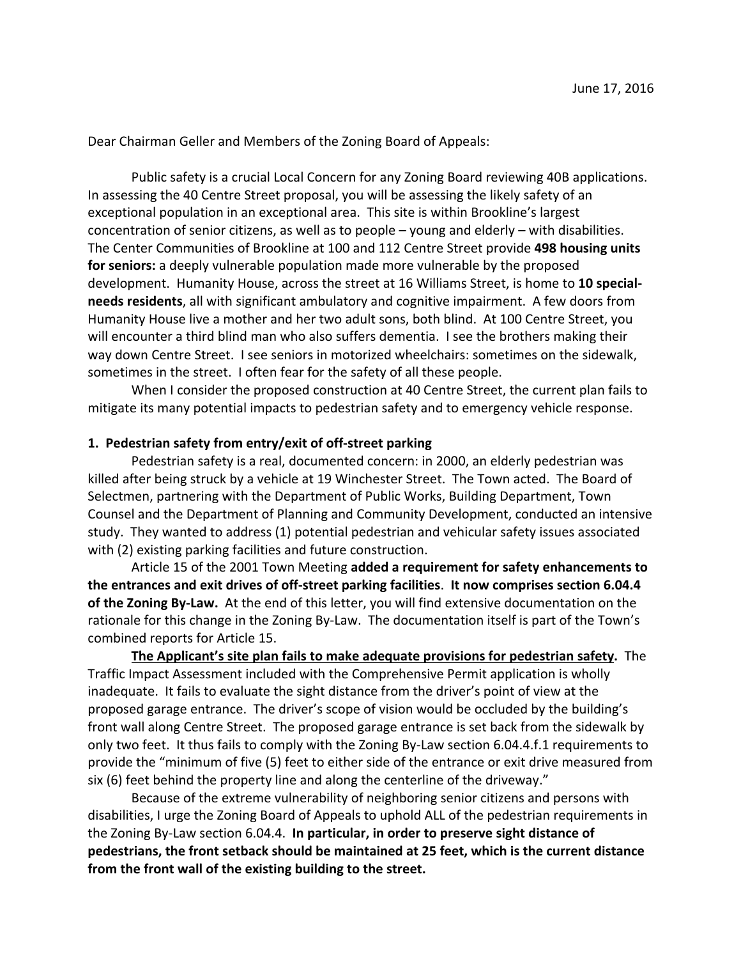Dear Chairman Geller and Members of the Zoning Board of Appeals:

Public safety is a crucial Local Concern for any Zoning Board reviewing 40B applications. In assessing the 40 Centre Street proposal, you will be assessing the likely safety of an exceptional population in an exceptional area. This site is within Brookline's largest concentration of senior citizens, as well as to people  $-$  young and elderly  $-$  with disabilities. The Center Communities of Brookline at 100 and 112 Centre Street provide 498 housing units **for seniors:** a deeply vulnerable population made more vulnerable by the proposed development. Humanity House, across the street at 16 Williams Street, is home to 10 special**needs residents**, all with significant ambulatory and cognitive impairment. A few doors from Humanity House live a mother and her two adult sons, both blind. At 100 Centre Street, you will encounter a third blind man who also suffers dementia. I see the brothers making their way down Centre Street. I see seniors in motorized wheelchairs: sometimes on the sidewalk, sometimes in the street. I often fear for the safety of all these people.

When I consider the proposed construction at 40 Centre Street, the current plan fails to mitigate its many potential impacts to pedestrian safety and to emergency vehicle response.

## **1. Pedestrian safety from entry/exit of off-street parking**

Pedestrian safety is a real, documented concern: in 2000, an elderly pedestrian was killed after being struck by a vehicle at 19 Winchester Street. The Town acted. The Board of Selectmen, partnering with the Department of Public Works, Building Department, Town Counsel and the Department of Planning and Community Development, conducted an intensive study. They wanted to address (1) potential pedestrian and vehicular safety issues associated with (2) existing parking facilities and future construction.

Article 15 of the 2001 Town Meeting added a requirement for safety enhancements to the entrances and exit drives of off-street parking facilities. It now comprises section 6.04.4 of the Zoning By-Law. At the end of this letter, you will find extensive documentation on the rationale for this change in the Zoning By-Law. The documentation itself is part of the Town's combined reports for Article 15.

**The Applicant's site plan fails to make adequate provisions for pedestrian safety.** The Traffic Impact Assessment included with the Comprehensive Permit application is wholly inadequate. It fails to evaluate the sight distance from the driver's point of view at the proposed garage entrance. The driver's scope of vision would be occluded by the building's front wall along Centre Street. The proposed garage entrance is set back from the sidewalk by only two feet. It thus fails to comply with the Zoning By-Law section 6.04.4.f.1 requirements to provide the "minimum of five (5) feet to either side of the entrance or exit drive measured from six (6) feet behind the property line and along the centerline of the driveway."

Because of the extreme vulnerability of neighboring senior citizens and persons with disabilities, I urge the Zoning Board of Appeals to uphold ALL of the pedestrian requirements in the Zoning By-Law section 6.04.4. In particular, in order to preserve sight distance of **pedestrians, the front setback should be maintained at 25 feet, which is the current distance from the front wall of the existing building to the street.**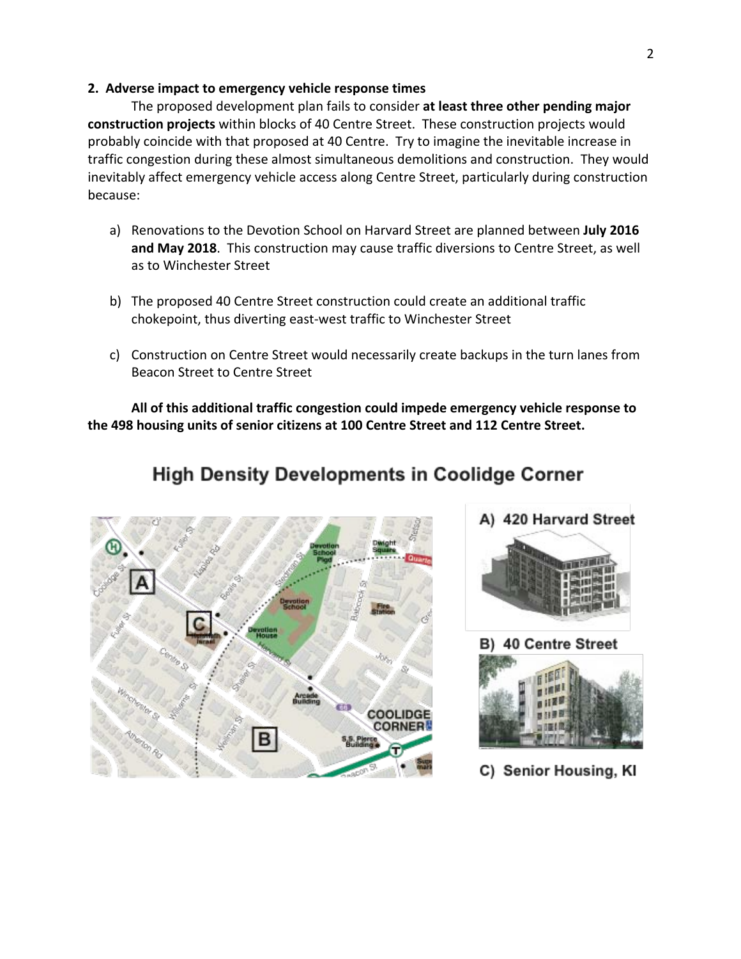#### **2. Adverse impact to emergency vehicle response times**

The proposed development plan fails to consider at least three other pending major **construction projects** within blocks of 40 Centre Street. These construction projects would probably coincide with that proposed at 40 Centre. Try to imagine the inevitable increase in traffic congestion during these almost simultaneous demolitions and construction. They would inevitably affect emergency vehicle access along Centre Street, particularly during construction because:

- a) Renovations to the Devotion School on Harvard Street are planned between July 2016 and May 2018. This construction may cause traffic diversions to Centre Street, as well as to Winchester Street
- b) The proposed 40 Centre Street construction could create an additional traffic chokepoint, thus diverting east-west traffic to Winchester Street
- c) Construction on Centre Street would necessarily create backups in the turn lanes from Beacon Street to Centre Street

All of this additional traffic congestion could impede emergency vehicle response to the 498 housing units of senior citizens at 100 Centre Street and 112 Centre Street.

# **High Density Developments in Coolidge Corner**





B) 40 Centre Street



C) Senior Housing, KI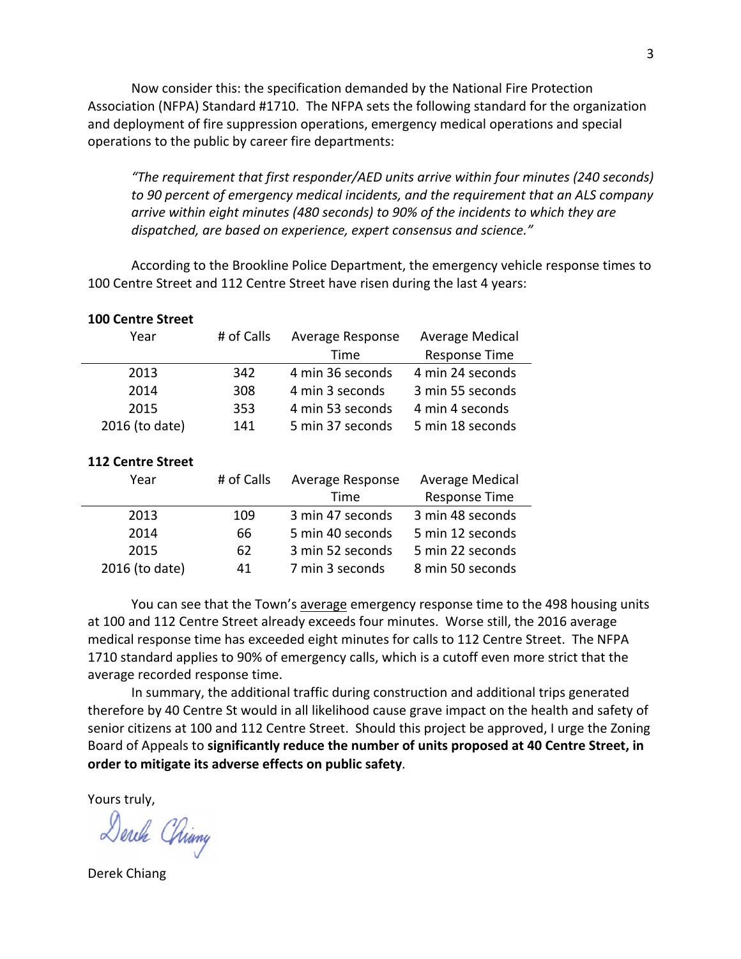Now consider this: the specification demanded by the National Fire Protection Association (NFPA) Standard #1710. The NFPA sets the following standard for the organization and deployment of fire suppression operations, emergency medical operations and special operations to the public by career fire departments:

*"The requirement that first responder/AED units arrive within four minutes (240 seconds)*  to 90 percent of emergency medical incidents, and the requirement that an ALS company arrive within eight minutes (480 seconds) to 90% of the incidents to which they are *dispatched, are based on experience, expert consensus and science."* 

According to the Brookline Police Department, the emergency vehicle response times to 100 Centre Street and 112 Centre Street have risen during the last 4 years:

| <b>100 Centre Street</b> |            |                  |                        |
|--------------------------|------------|------------------|------------------------|
| Year                     | # of Calls | Average Response | Average Medical        |
|                          |            | Time             | Response Time          |
| 2013                     | 342        | 4 min 36 seconds | 4 min 24 seconds       |
| 2014                     | 308        | 4 min 3 seconds  | 3 min 55 seconds       |
| 2015                     | 353        | 4 min 53 seconds | 4 min 4 seconds        |
| 2016 (to date)           | 141        | 5 min 37 seconds | 5 min 18 seconds       |
|                          |            |                  |                        |
| <b>112 Centre Street</b> |            |                  |                        |
| Year                     | # of Calls | Average Response | <b>Average Medical</b> |
|                          |            | Time             | Response Time          |
| 2013                     | 109        | 3 min 47 seconds | 3 min 48 seconds       |
|                          |            |                  |                        |
| 2014                     | 66         | 5 min 40 seconds | 5 min 12 seconds       |
| 2015                     | 62         | 3 min 52 seconds | 5 min 22 seconds       |

You can see that the Town's average emergency response time to the 498 housing units at 100 and 112 Centre Street already exceeds four minutes. Worse still, the 2016 average medical response time has exceeded eight minutes for calls to 112 Centre Street. The NFPA 1710 standard applies to 90% of emergency calls, which is a cutoff even more strict that the average recorded response time.

In summary, the additional traffic during construction and additional trips generated therefore by 40 Centre St would in all likelihood cause grave impact on the health and safety of senior citizens at 100 and 112 Centre Street. Should this project be approved, I urge the Zoning Board of Appeals to significantly reduce the number of units proposed at 40 Centre Street, in **order to mitigate its adverse effects on public safety.** 

Yours truly,

Derch Chiny

Derek Chiang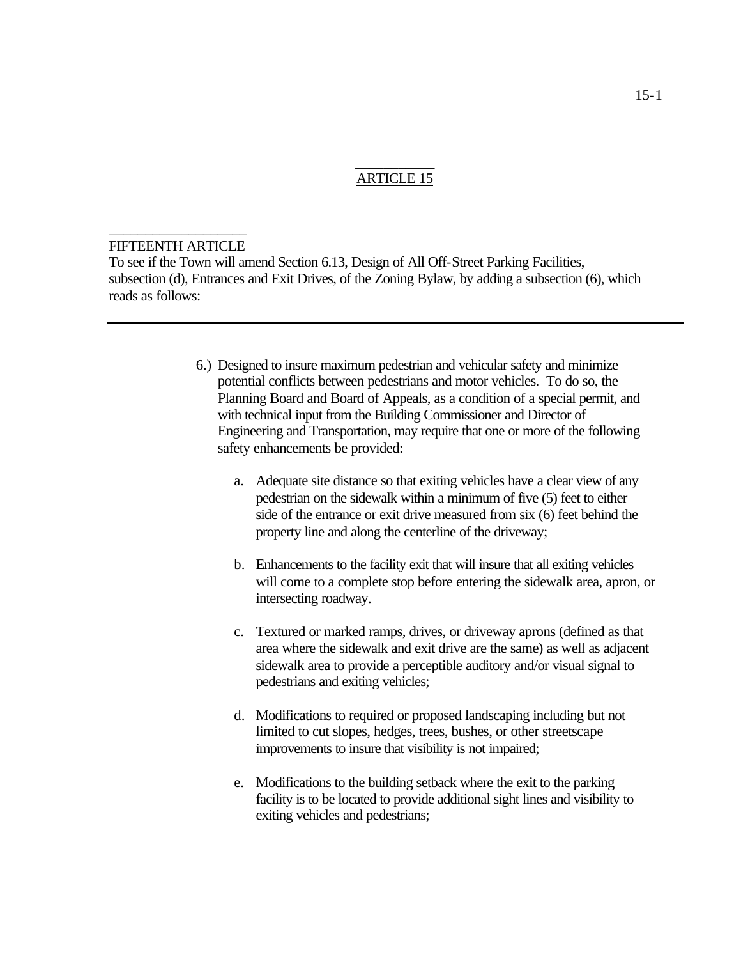## \_\_\_\_\_\_\_\_\_\_\_ ARTICLE 15

#### \_\_\_\_\_\_\_\_\_\_\_\_\_\_\_\_\_\_\_ FIFTEENTH ARTICLE

To see if the Town will amend Section 6.13, Design of All Off-Street Parking Facilities, subsection (d), Entrances and Exit Drives, of the Zoning Bylaw, by adding a subsection (6), which reads as follows:

- 6.) Designed to insure maximum pedestrian and vehicular safety and minimize potential conflicts between pedestrians and motor vehicles. To do so, the Planning Board and Board of Appeals, as a condition of a special permit, and with technical input from the Building Commissioner and Director of Engineering and Transportation, may require that one or more of the following safety enhancements be provided:
	- a. Adequate site distance so that exiting vehicles have a clear view of any pedestrian on the sidewalk within a minimum of five (5) feet to either side of the entrance or exit drive measured from six (6) feet behind the property line and along the centerline of the driveway;
	- b. Enhancements to the facility exit that will insure that all exiting vehicles will come to a complete stop before entering the sidewalk area, apron, or intersecting roadway.
	- c. Textured or marked ramps, drives, or driveway aprons (defined as that area where the sidewalk and exit drive are the same) as well as adjacent sidewalk area to provide a perceptible auditory and/or visual signal to pedestrians and exiting vehicles;
	- d. Modifications to required or proposed landscaping including but not limited to cut slopes, hedges, trees, bushes, or other streetscape improvements to insure that visibility is not impaired;
	- e. Modifications to the building setback where the exit to the parking facility is to be located to provide additional sight lines and visibility to exiting vehicles and pedestrians;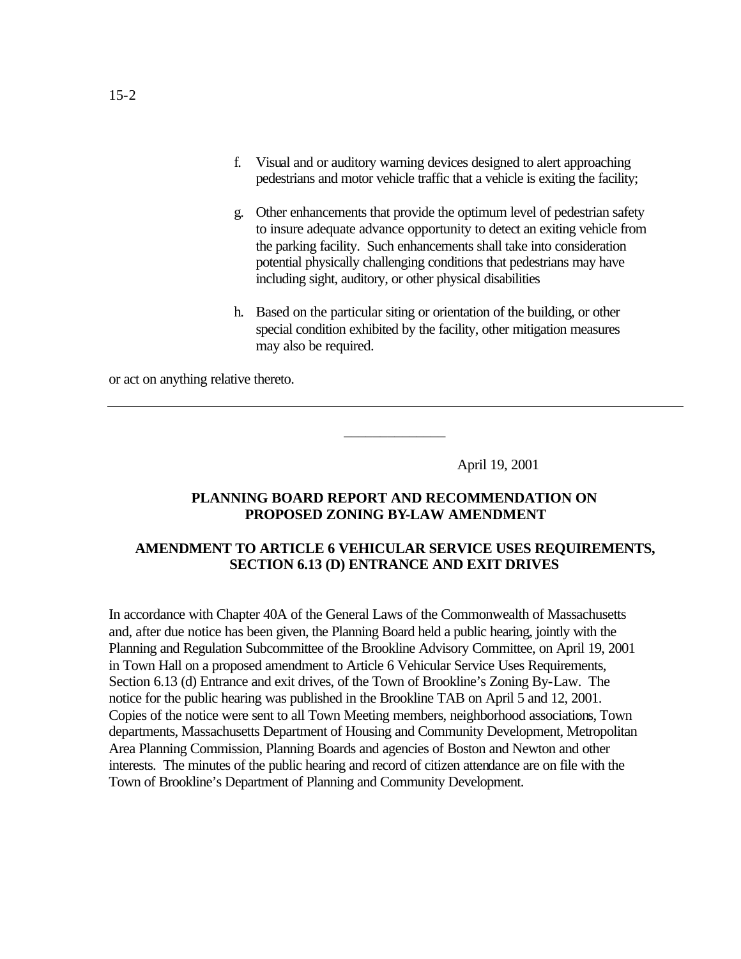- f. Visual and or auditory warning devices designed to alert approaching pedestrians and motor vehicle traffic that a vehicle is exiting the facility;
- g. Other enhancements that provide the optimum level of pedestrian safety to insure adequate advance opportunity to detect an exiting vehicle from the parking facility. Such enhancements shall take into consideration potential physically challenging conditions that pedestrians may have including sight, auditory, or other physical disabilities
- h. Based on the particular siting or orientation of the building, or other special condition exhibited by the facility, other mitigation measures may also be required.

or act on anything relative thereto.

April 19, 2001

### **PLANNING BOARD REPORT AND RECOMMENDATION ON PROPOSED ZONING BY-LAW AMENDMENT**

\_\_\_\_\_\_\_\_\_\_\_\_\_\_

# **AMENDMENT TO ARTICLE 6 VEHICULAR SERVICE USES REQUIREMENTS, SECTION 6.13 (D) ENTRANCE AND EXIT DRIVES**

In accordance with Chapter 40A of the General Laws of the Commonwealth of Massachusetts and, after due notice has been given, the Planning Board held a public hearing, jointly with the Planning and Regulation Subcommittee of the Brookline Advisory Committee, on April 19, 2001 in Town Hall on a proposed amendment to Article 6 Vehicular Service Uses Requirements, Section 6.13 (d) Entrance and exit drives, of the Town of Brookline's Zoning By-Law. The notice for the public hearing was published in the Brookline TAB on April 5 and 12, 2001. Copies of the notice were sent to all Town Meeting members, neighborhood associations, Town departments, Massachusetts Department of Housing and Community Development, Metropolitan Area Planning Commission, Planning Boards and agencies of Boston and Newton and other interests. The minutes of the public hearing and record of citizen attendance are on file with the Town of Brookline's Department of Planning and Community Development.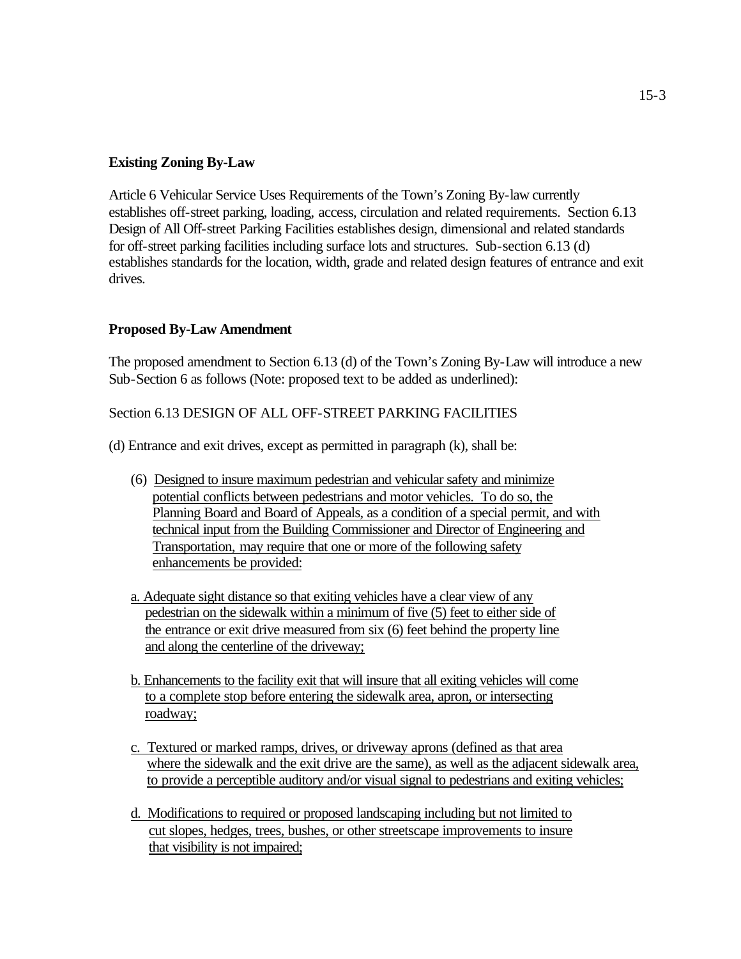# **Existing Zoning By-Law**

Article 6 Vehicular Service Uses Requirements of the Town's Zoning By-law currently establishes off-street parking, loading, access, circulation and related requirements. Section 6.13 Design of All Off-street Parking Facilities establishes design, dimensional and related standards for off-street parking facilities including surface lots and structures. Sub-section 6.13 (d) establishes standards for the location, width, grade and related design features of entrance and exit drives.

# **Proposed By-Law Amendment**

The proposed amendment to Section 6.13 (d) of the Town's Zoning By-Law will introduce a new Sub-Section 6 as follows (Note: proposed text to be added as underlined):

# Section 6.13 DESIGN OF ALL OFF-STREET PARKING FACILITIES

(d) Entrance and exit drives, except as permitted in paragraph (k), shall be:

- (6) Designed to insure maximum pedestrian and vehicular safety and minimize potential conflicts between pedestrians and motor vehicles. To do so, the Planning Board and Board of Appeals, as a condition of a special permit, and with technical input from the Building Commissioner and Director of Engineering and Transportation, may require that one or more of the following safety enhancements be provided:
- a. Adequate sight distance so that exiting vehicles have a clear view of any pedestrian on the sidewalk within a minimum of five (5) feet to either side of the entrance or exit drive measured from six (6) feet behind the property line and along the centerline of the driveway;
- b. Enhancements to the facility exit that will insure that all exiting vehicles will come to a complete stop before entering the sidewalk area, apron, or intersecting roadway;
- c. Textured or marked ramps, drives, or driveway aprons (defined as that area where the sidewalk and the exit drive are the same), as well as the adjacent sidewalk area, to provide a perceptible auditory and/or visual signal to pedestrians and exiting vehicles;
- d. Modifications to required or proposed landscaping including but not limited to cut slopes, hedges, trees, bushes, or other streetscape improvements to insure that visibility is not impaired;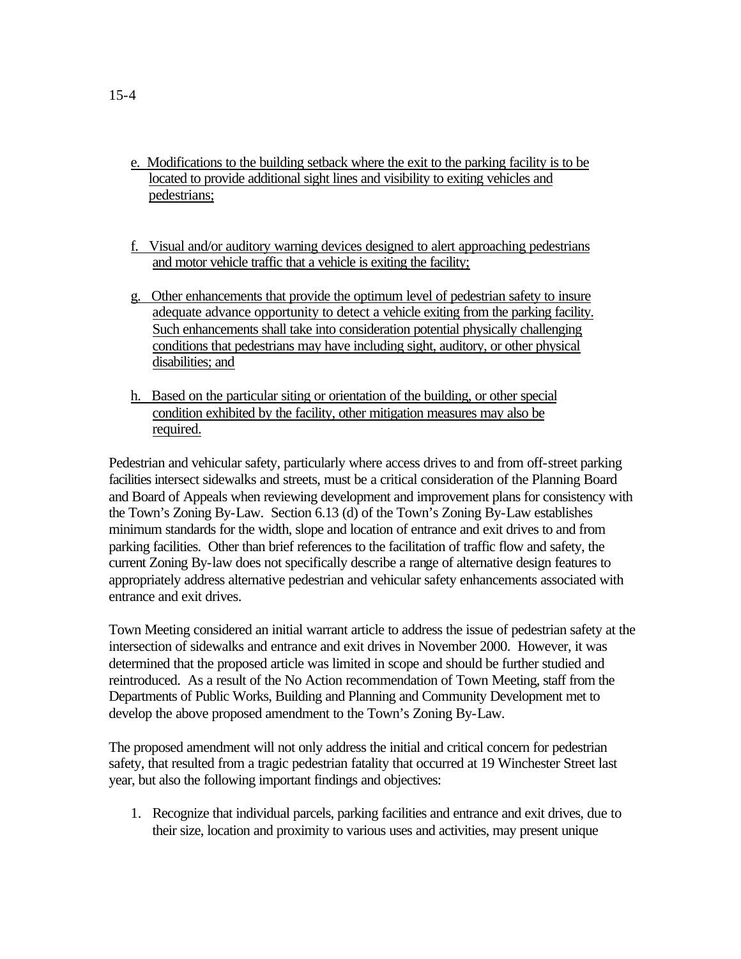- e. Modifications to the building setback where the exit to the parking facility is to be located to provide additional sight lines and visibility to exiting vehicles and pedestrians;
- f. Visual and/or auditory warning devices designed to alert approaching pedestrians and motor vehicle traffic that a vehicle is exiting the facility;
- g. Other enhancements that provide the optimum level of pedestrian safety to insure adequate advance opportunity to detect a vehicle exiting from the parking facility. Such enhancements shall take into consideration potential physically challenging conditions that pedestrians may have including sight, auditory, or other physical disabilities; and
- h. Based on the particular siting or orientation of the building, or other special condition exhibited by the facility, other mitigation measures may also be required.

Pedestrian and vehicular safety, particularly where access drives to and from off-street parking facilities intersect sidewalks and streets, must be a critical consideration of the Planning Board and Board of Appeals when reviewing development and improvement plans for consistency with the Town's Zoning By-Law. Section 6.13 (d) of the Town's Zoning By-Law establishes minimum standards for the width, slope and location of entrance and exit drives to and from parking facilities. Other than brief references to the facilitation of traffic flow and safety, the current Zoning By-law does not specifically describe a range of alternative design features to appropriately address alternative pedestrian and vehicular safety enhancements associated with entrance and exit drives.

Town Meeting considered an initial warrant article to address the issue of pedestrian safety at the intersection of sidewalks and entrance and exit drives in November 2000. However, it was determined that the proposed article was limited in scope and should be further studied and reintroduced. As a result of the No Action recommendation of Town Meeting, staff from the Departments of Public Works, Building and Planning and Community Development met to develop the above proposed amendment to the Town's Zoning By-Law.

The proposed amendment will not only address the initial and critical concern for pedestrian safety, that resulted from a tragic pedestrian fatality that occurred at 19 Winchester Street last year, but also the following important findings and objectives:

1. Recognize that individual parcels, parking facilities and entrance and exit drives, due to their size, location and proximity to various uses and activities, may present unique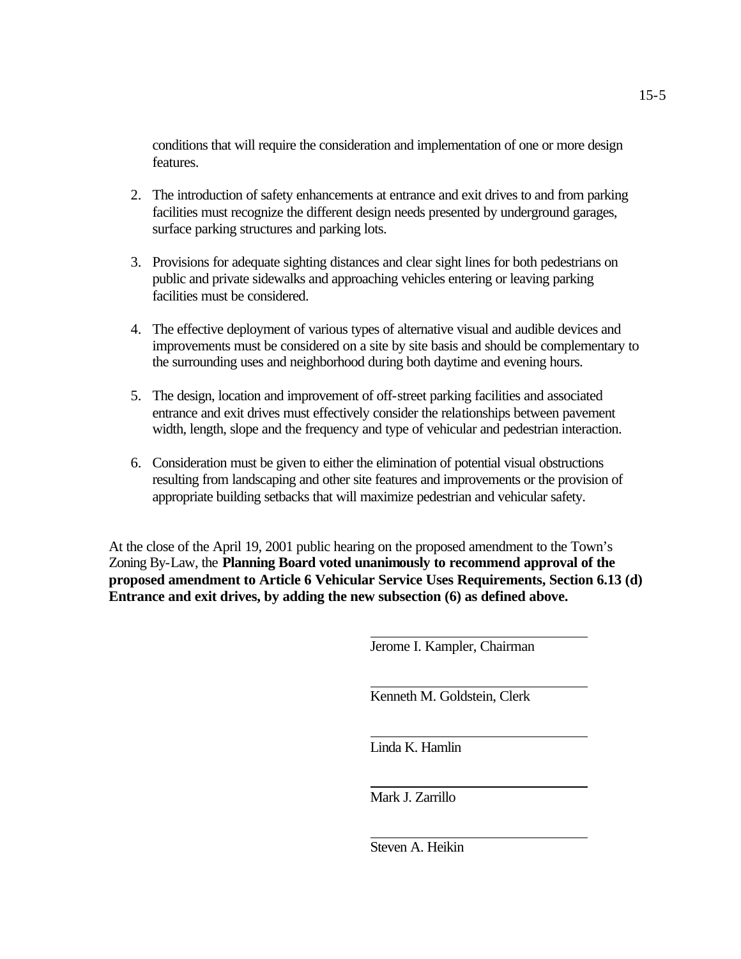conditions that will require the consideration and implementation of one or more design features.

- 2. The introduction of safety enhancements at entrance and exit drives to and from parking facilities must recognize the different design needs presented by underground garages, surface parking structures and parking lots.
- 3. Provisions for adequate sighting distances and clear sight lines for both pedestrians on public and private sidewalks and approaching vehicles entering or leaving parking facilities must be considered.
- 4. The effective deployment of various types of alternative visual and audible devices and improvements must be considered on a site by site basis and should be complementary to the surrounding uses and neighborhood during both daytime and evening hours.
- 5. The design, location and improvement of off-street parking facilities and associated entrance and exit drives must effectively consider the relationships between pavement width, length, slope and the frequency and type of vehicular and pedestrian interaction.
- 6. Consideration must be given to either the elimination of potential visual obstructions resulting from landscaping and other site features and improvements or the provision of appropriate building setbacks that will maximize pedestrian and vehicular safety.

At the close of the April 19, 2001 public hearing on the proposed amendment to the Town's Zoning By-Law, the **Planning Board voted unanimously to recommend approval of the proposed amendment to Article 6 Vehicular Service Uses Requirements, Section 6.13 (d) Entrance and exit drives, by adding the new subsection (6) as defined above.**

Jerome I. Kampler, Chairman

Kenneth M. Goldstein, Clerk

Linda K. Hamlin

Mark J. Zarrillo

Steven A. Heikin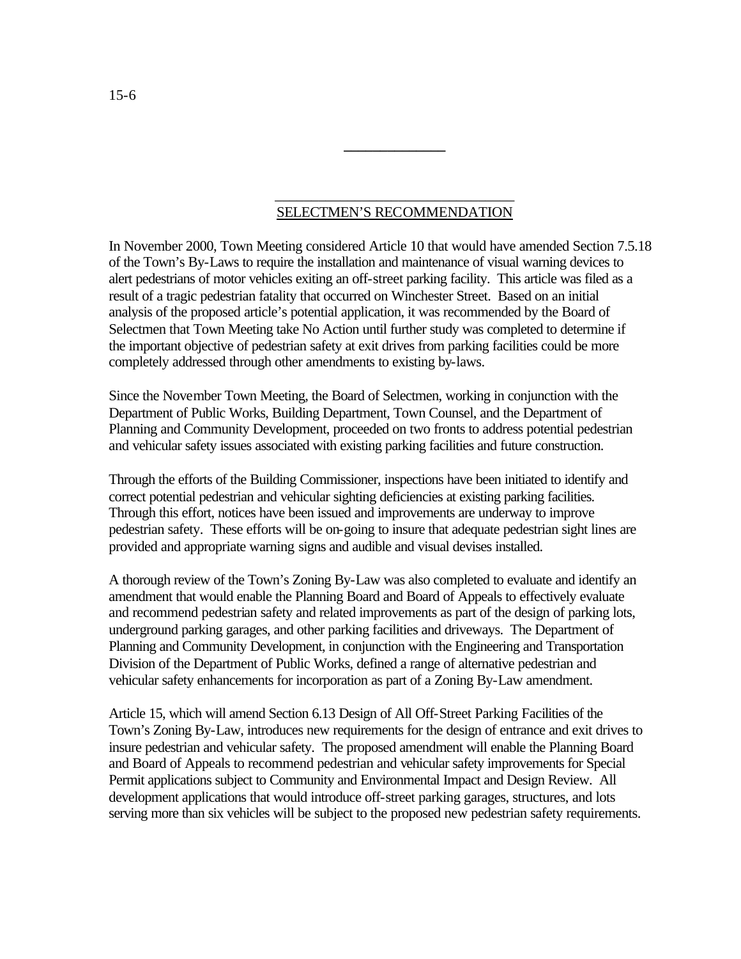# \_\_\_\_\_\_\_\_\_\_\_\_\_\_\_\_\_\_\_\_\_\_\_\_\_\_\_\_\_\_\_\_\_ SELECTMEN'S RECOMMENDATION

**\_\_\_\_\_\_\_\_\_\_\_\_\_\_** 

In November 2000, Town Meeting considered Article 10 that would have amended Section 7.5.18 of the Town's By-Laws to require the installation and maintenance of visual warning devices to alert pedestrians of motor vehicles exiting an off-street parking facility. This article was filed as a result of a tragic pedestrian fatality that occurred on Winchester Street. Based on an initial analysis of the proposed article's potential application, it was recommended by the Board of Selectmen that Town Meeting take No Action until further study was completed to determine if the important objective of pedestrian safety at exit drives from parking facilities could be more completely addressed through other amendments to existing by-laws.

Since the November Town Meeting, the Board of Selectmen, working in conjunction with the Department of Public Works, Building Department, Town Counsel, and the Department of Planning and Community Development, proceeded on two fronts to address potential pedestrian and vehicular safety issues associated with existing parking facilities and future construction.

Through the efforts of the Building Commissioner, inspections have been initiated to identify and correct potential pedestrian and vehicular sighting deficiencies at existing parking facilities. Through this effort, notices have been issued and improvements are underway to improve pedestrian safety. These efforts will be on-going to insure that adequate pedestrian sight lines are provided and appropriate warning signs and audible and visual devises installed.

A thorough review of the Town's Zoning By-Law was also completed to evaluate and identify an amendment that would enable the Planning Board and Board of Appeals to effectively evaluate and recommend pedestrian safety and related improvements as part of the design of parking lots, underground parking garages, and other parking facilities and driveways. The Department of Planning and Community Development, in conjunction with the Engineering and Transportation Division of the Department of Public Works, defined a range of alternative pedestrian and vehicular safety enhancements for incorporation as part of a Zoning By-Law amendment.

Article 15, which will amend Section 6.13 Design of All Off-Street Parking Facilities of the Town's Zoning By-Law, introduces new requirements for the design of entrance and exit drives to insure pedestrian and vehicular safety. The proposed amendment will enable the Planning Board and Board of Appeals to recommend pedestrian and vehicular safety improvements for Special Permit applications subject to Community and Environmental Impact and Design Review. All development applications that would introduce off-street parking garages, structures, and lots serving more than six vehicles will be subject to the proposed new pedestrian safety requirements.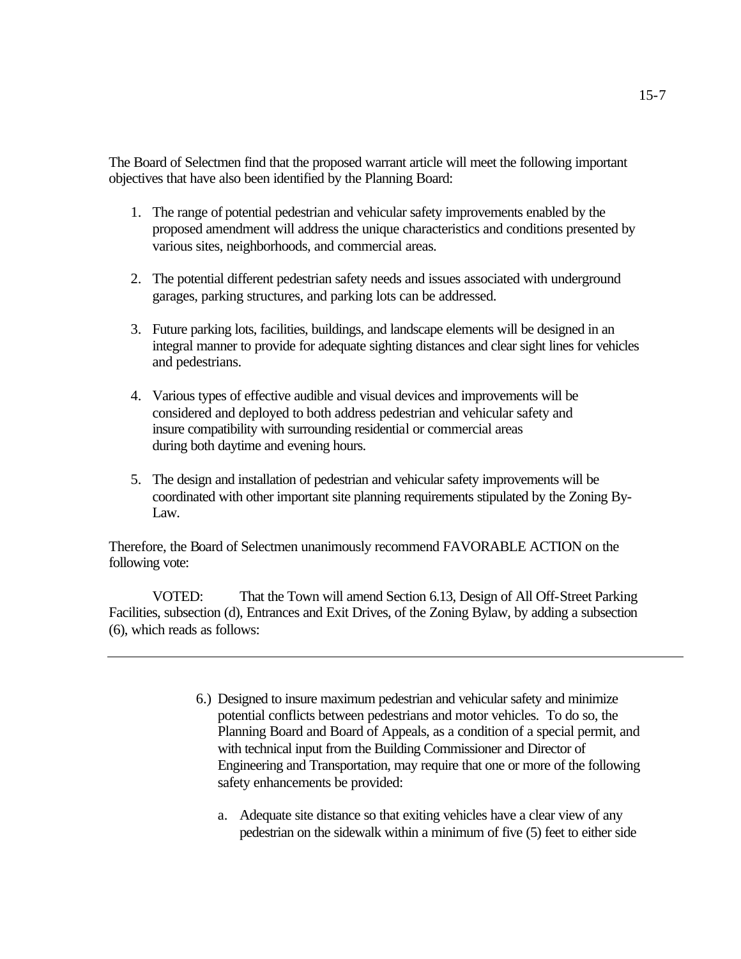The Board of Selectmen find that the proposed warrant article will meet the following important objectives that have also been identified by the Planning Board:

- 1. The range of potential pedestrian and vehicular safety improvements enabled by the proposed amendment will address the unique characteristics and conditions presented by various sites, neighborhoods, and commercial areas.
- 2. The potential different pedestrian safety needs and issues associated with underground garages, parking structures, and parking lots can be addressed.
- 3. Future parking lots, facilities, buildings, and landscape elements will be designed in an integral manner to provide for adequate sighting distances and clear sight lines for vehicles and pedestrians.
- 4. Various types of effective audible and visual devices and improvements will be considered and deployed to both address pedestrian and vehicular safety and insure compatibility with surrounding residential or commercial areas during both daytime and evening hours.
- 5. The design and installation of pedestrian and vehicular safety improvements will be coordinated with other important site planning requirements stipulated by the Zoning By-Law.

Therefore, the Board of Selectmen unanimously recommend FAVORABLE ACTION on the following vote:

VOTED: That the Town will amend Section 6.13, Design of All Off-Street Parking Facilities, subsection (d), Entrances and Exit Drives, of the Zoning Bylaw, by adding a subsection (6), which reads as follows:

- 6.) Designed to insure maximum pedestrian and vehicular safety and minimize potential conflicts between pedestrians and motor vehicles. To do so, the Planning Board and Board of Appeals, as a condition of a special permit, and with technical input from the Building Commissioner and Director of Engineering and Transportation, may require that one or more of the following safety enhancements be provided:
	- a. Adequate site distance so that exiting vehicles have a clear view of any pedestrian on the sidewalk within a minimum of five (5) feet to either side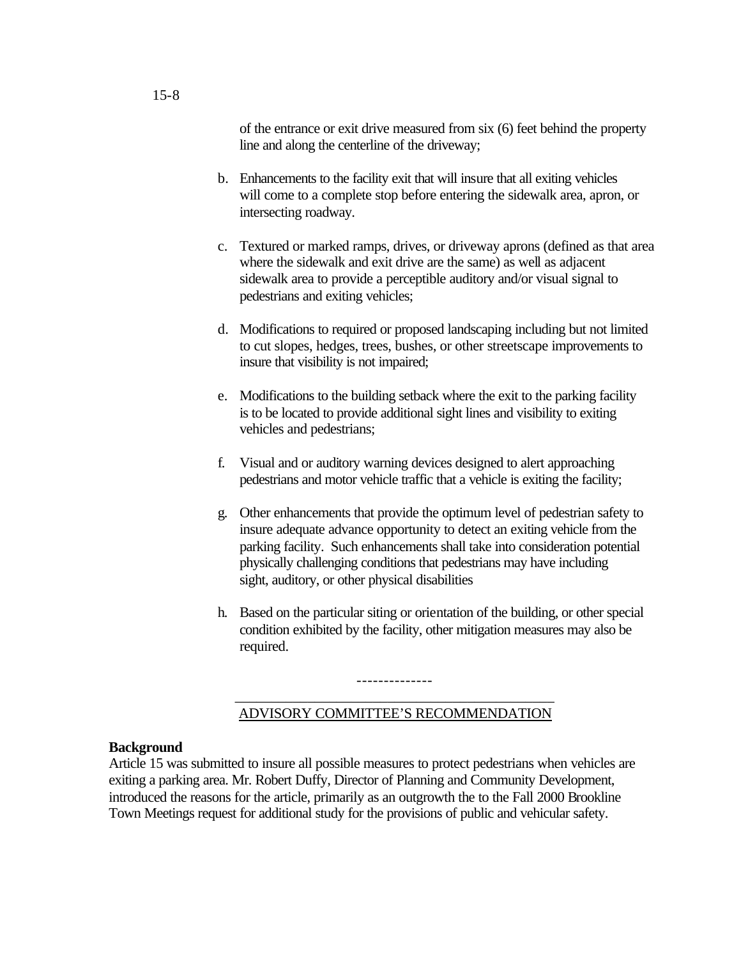of the entrance or exit drive measured from six (6) feet behind the property line and along the centerline of the driveway;

- b. Enhancements to the facility exit that will insure that all exiting vehicles will come to a complete stop before entering the sidewalk area, apron, or intersecting roadway.
- c. Textured or marked ramps, drives, or driveway aprons (defined as that area where the sidewalk and exit drive are the same) as well as adjacent sidewalk area to provide a perceptible auditory and/or visual signal to pedestrians and exiting vehicles;
- d. Modifications to required or proposed landscaping including but not limited to cut slopes, hedges, trees, bushes, or other streetscape improvements to insure that visibility is not impaired;
- e. Modifications to the building setback where the exit to the parking facility is to be located to provide additional sight lines and visibility to exiting vehicles and pedestrians;
- f. Visual and or auditory warning devices designed to alert approaching pedestrians and motor vehicle traffic that a vehicle is exiting the facility;
- g. Other enhancements that provide the optimum level of pedestrian safety to insure adequate advance opportunity to detect an exiting vehicle from the parking facility. Such enhancements shall take into consideration potential physically challenging conditions that pedestrians may have including sight, auditory, or other physical disabilities
- h. Based on the particular siting or orientation of the building, or other special condition exhibited by the facility, other mitigation measures may also be required.

# \_\_\_\_\_\_\_\_\_\_\_\_\_\_\_\_\_\_\_\_\_\_\_\_\_\_\_\_\_\_\_\_\_\_\_\_\_\_\_\_\_\_\_\_ ADVISORY COMMITTEE'S RECOMMENDATION

--------------

#### **Background**

Article 15 was submitted to insure all possible measures to protect pedestrians when vehicles are exiting a parking area. Mr. Robert Duffy, Director of Planning and Community Development, introduced the reasons for the article, primarily as an outgrowth the to the Fall 2000 Brookline Town Meetings request for additional study for the provisions of public and vehicular safety.